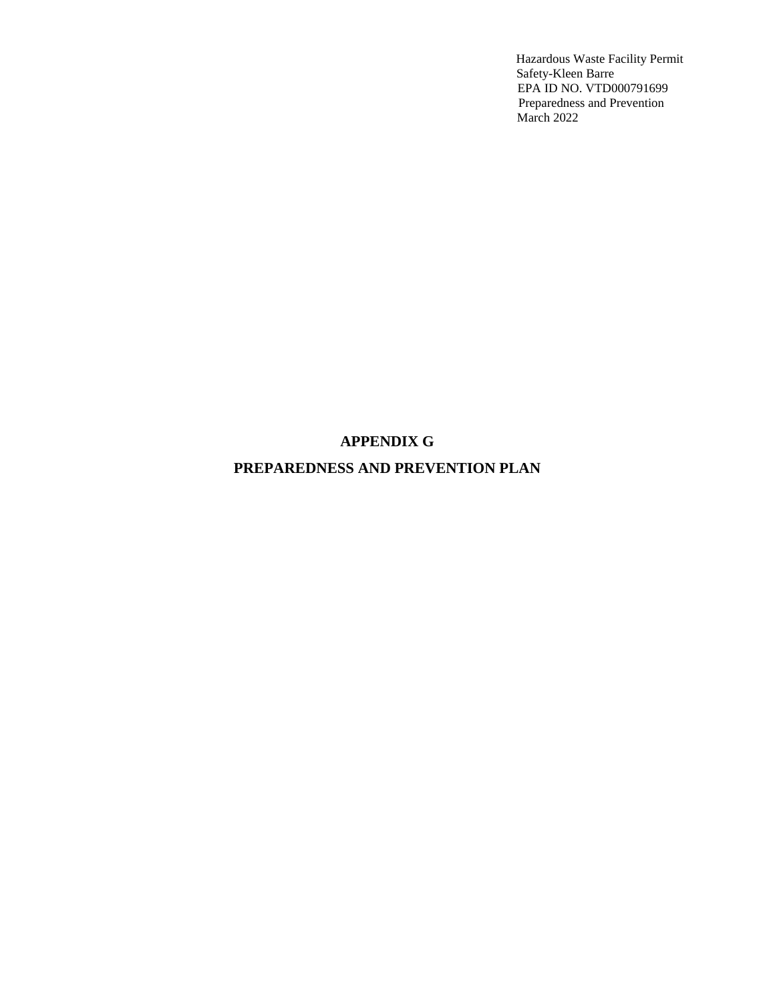# **APPENDIX G**

# **PREPAREDNESS AND PREVENTION PLAN**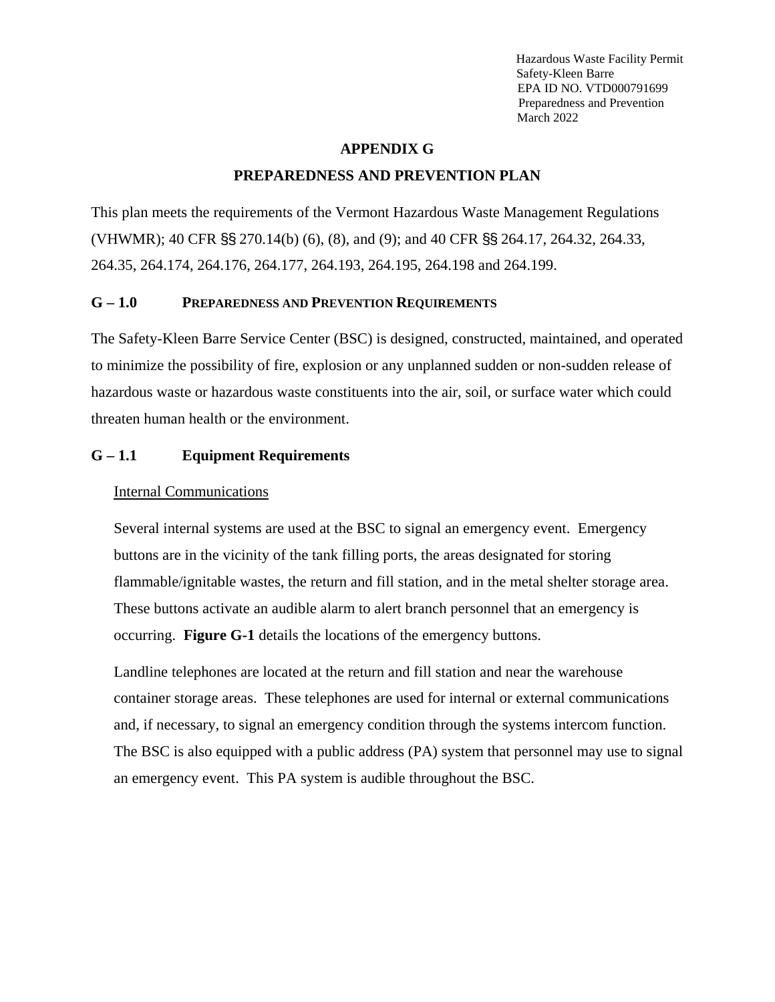#### **APPENDIX G**

#### **PREPAREDNESS AND PREVENTION PLAN**

This plan meets the requirements of the Vermont Hazardous Waste Management Regulations (VHWMR); 40 CFR §§ 270.14(b) (6), (8), and (9); and 40 CFR §§ 264.17, 264.32, 264.33, 264.35, 264.174, 264.176, 264.177, 264.193, 264.195, 264.198 and 264.199.

#### **G – 1.0 PREPAREDNESS AND PREVENTION REQUIREMENTS**

The Safety-Kleen Barre Service Center (BSC) is designed, constructed, maintained, and operated to minimize the possibility of fire, explosion or any unplanned sudden or non-sudden release of hazardous waste or hazardous waste constituents into the air, soil, or surface water which could threaten human health or the environment.

#### **G – 1.1 Equipment Requirements**

#### Internal Communications

Several internal systems are used at the BSC to signal an emergency event. Emergency buttons are in the vicinity of the tank filling ports, the areas designated for storing flammable/ignitable wastes, the return and fill station, and in the metal shelter storage area. These buttons activate an audible alarm to alert branch personnel that an emergency is occurring. **Figure G-1** details the locations of the emergency buttons.

Landline telephones are located at the return and fill station and near the warehouse container storage areas. These telephones are used for internal or external communications and, if necessary, to signal an emergency condition through the systems intercom function. The BSC is also equipped with a public address (PA) system that personnel may use to signal an emergency event. This PA system is audible throughout the BSC.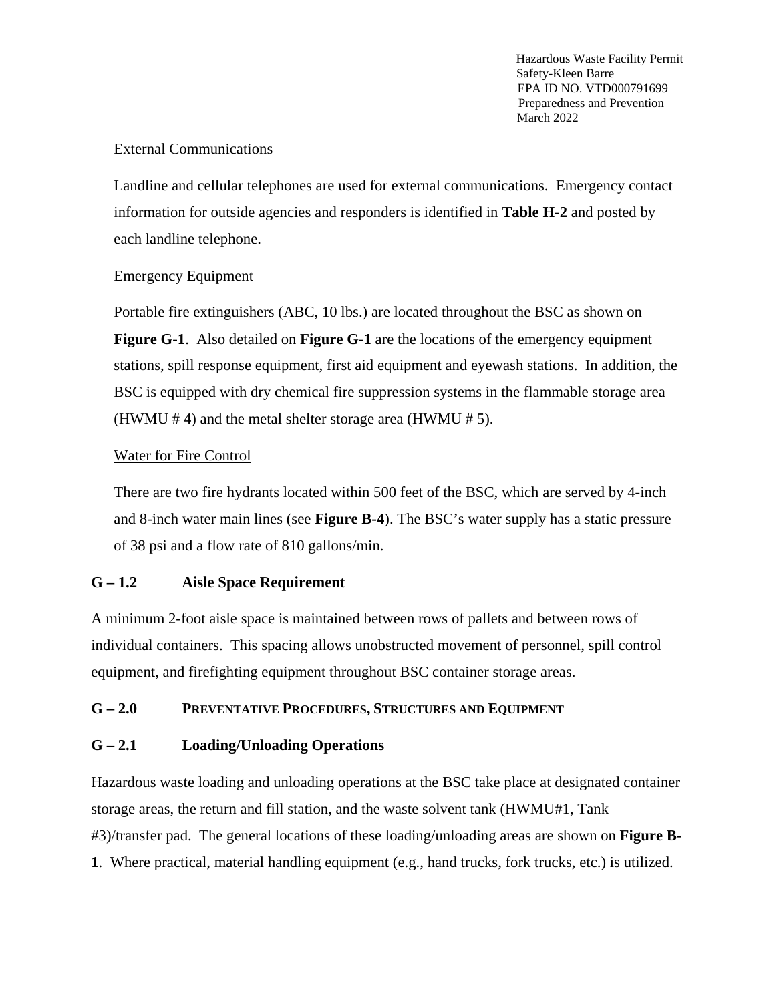## External Communications

Landline and cellular telephones are used for external communications. Emergency contact information for outside agencies and responders is identified in **Table H-2** and posted by each landline telephone.

#### Emergency Equipment

Portable fire extinguishers (ABC, 10 lbs.) are located throughout the BSC as shown on **Figure G-1**. Also detailed on **Figure G-1** are the locations of the emergency equipment stations, spill response equipment, first aid equipment and eyewash stations. In addition, the BSC is equipped with dry chemical fire suppression systems in the flammable storage area (HWMU  $# 4$ ) and the metal shelter storage area (HWMU  $# 5$ ).

# Water for Fire Control

There are two fire hydrants located within 500 feet of the BSC, which are served by 4-inch and 8-inch water main lines (see **Figure B-4**). The BSC's water supply has a static pressure of 38 psi and a flow rate of 810 gallons/min.

# **G – 1.2 Aisle Space Requirement**

A minimum 2-foot aisle space is maintained between rows of pallets and between rows of individual containers. This spacing allows unobstructed movement of personnel, spill control equipment, and firefighting equipment throughout BSC container storage areas.

#### **G – 2.0 PREVENTATIVE PROCEDURES, STRUCTURES AND EQUIPMENT**

# **G – 2.1 Loading/Unloading Operations**

Hazardous waste loading and unloading operations at the BSC take place at designated container storage areas, the return and fill station, and the waste solvent tank (HWMU#1, Tank #3)/transfer pad. The general locations of these loading/unloading areas are shown on **Figure B-1**. Where practical, material handling equipment (e.g., hand trucks, fork trucks, etc.) is utilized.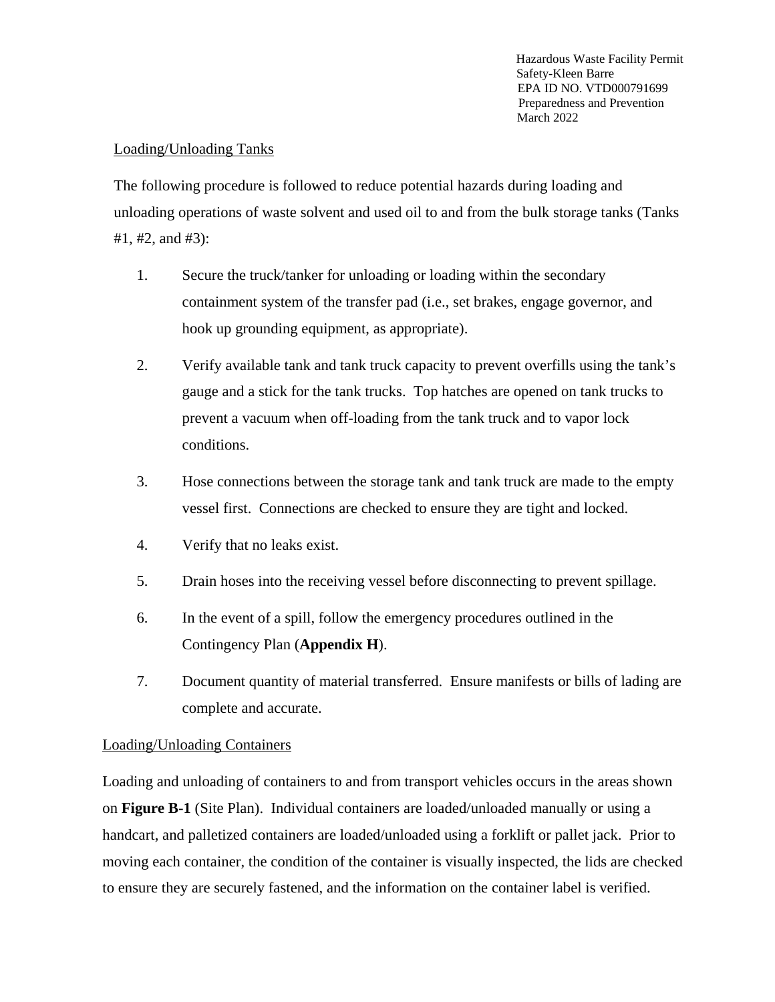#### Loading/Unloading Tanks

The following procedure is followed to reduce potential hazards during loading and unloading operations of waste solvent and used oil to and from the bulk storage tanks (Tanks #1, #2, and #3):

- 1. Secure the truck/tanker for unloading or loading within the secondary containment system of the transfer pad (i.e., set brakes, engage governor, and hook up grounding equipment, as appropriate).
- 2. Verify available tank and tank truck capacity to prevent overfills using the tank's gauge and a stick for the tank trucks. Top hatches are opened on tank trucks to prevent a vacuum when off-loading from the tank truck and to vapor lock conditions.
- 3. Hose connections between the storage tank and tank truck are made to the empty vessel first. Connections are checked to ensure they are tight and locked.
- 4. Verify that no leaks exist.
- 5. Drain hoses into the receiving vessel before disconnecting to prevent spillage.
- 6. In the event of a spill, follow the emergency procedures outlined in the Contingency Plan (**Appendix H**).
- 7. Document quantity of material transferred. Ensure manifests or bills of lading are complete and accurate.

#### Loading/Unloading Containers

Loading and unloading of containers to and from transport vehicles occurs in the areas shown on **Figure B-1** (Site Plan). Individual containers are loaded/unloaded manually or using a handcart, and palletized containers are loaded/unloaded using a forklift or pallet jack. Prior to moving each container, the condition of the container is visually inspected, the lids are checked to ensure they are securely fastened, and the information on the container label is verified.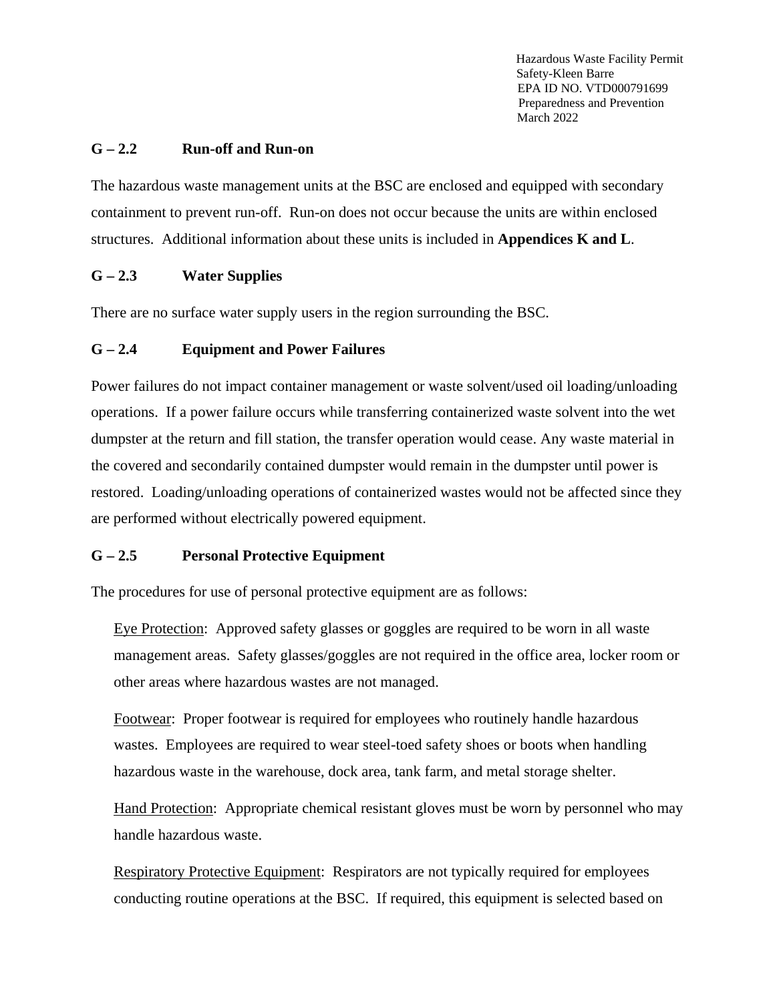#### **G – 2.2 Run-off and Run-on**

The hazardous waste management units at the BSC are enclosed and equipped with secondary containment to prevent run-off. Run-on does not occur because the units are within enclosed structures. Additional information about these units is included in **Appendices K and L**.

#### **G – 2.3 Water Supplies**

There are no surface water supply users in the region surrounding the BSC.

#### **G – 2.4 Equipment and Power Failures**

Power failures do not impact container management or waste solvent/used oil loading/unloading operations. If a power failure occurs while transferring containerized waste solvent into the wet dumpster at the return and fill station, the transfer operation would cease. Any waste material in the covered and secondarily contained dumpster would remain in the dumpster until power is restored. Loading/unloading operations of containerized wastes would not be affected since they are performed without electrically powered equipment.

#### **G – 2.5 Personal Protective Equipment**

The procedures for use of personal protective equipment are as follows:

Eye Protection: Approved safety glasses or goggles are required to be worn in all waste management areas. Safety glasses/goggles are not required in the office area, locker room or other areas where hazardous wastes are not managed.

Footwear: Proper footwear is required for employees who routinely handle hazardous wastes. Employees are required to wear steel-toed safety shoes or boots when handling hazardous waste in the warehouse, dock area, tank farm, and metal storage shelter.

Hand Protection: Appropriate chemical resistant gloves must be worn by personnel who may handle hazardous waste.

Respiratory Protective Equipment: Respirators are not typically required for employees conducting routine operations at the BSC. If required, this equipment is selected based on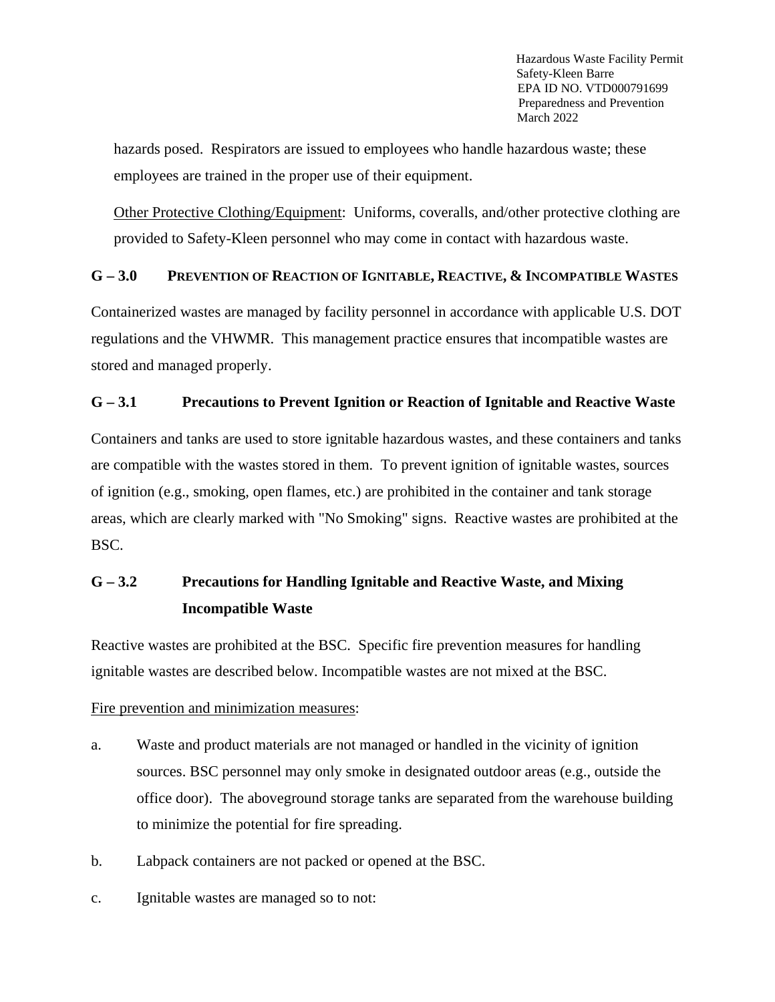hazards posed. Respirators are issued to employees who handle hazardous waste; these employees are trained in the proper use of their equipment.

Other Protective Clothing/Equipment: Uniforms, coveralls, and/other protective clothing are provided to Safety-Kleen personnel who may come in contact with hazardous waste.

## **G – 3.0 PREVENTION OF REACTION OF IGNITABLE, REACTIVE, & INCOMPATIBLE WASTES**

Containerized wastes are managed by facility personnel in accordance with applicable U.S. DOT regulations and the VHWMR. This management practice ensures that incompatible wastes are stored and managed properly.

#### **G – 3.1 Precautions to Prevent Ignition or Reaction of Ignitable and Reactive Waste**

Containers and tanks are used to store ignitable hazardous wastes, and these containers and tanks are compatible with the wastes stored in them. To prevent ignition of ignitable wastes, sources of ignition (e.g., smoking, open flames, etc.) are prohibited in the container and tank storage areas, which are clearly marked with "No Smoking" signs. Reactive wastes are prohibited at the BSC.

# **G – 3.2 Precautions for Handling Ignitable and Reactive Waste, and Mixing Incompatible Waste**

Reactive wastes are prohibited at the BSC. Specific fire prevention measures for handling ignitable wastes are described below. Incompatible wastes are not mixed at the BSC.

#### Fire prevention and minimization measures:

- a. Waste and product materials are not managed or handled in the vicinity of ignition sources. BSC personnel may only smoke in designated outdoor areas (e.g., outside the office door). The aboveground storage tanks are separated from the warehouse building to minimize the potential for fire spreading.
- b. Labpack containers are not packed or opened at the BSC.
- c. Ignitable wastes are managed so to not: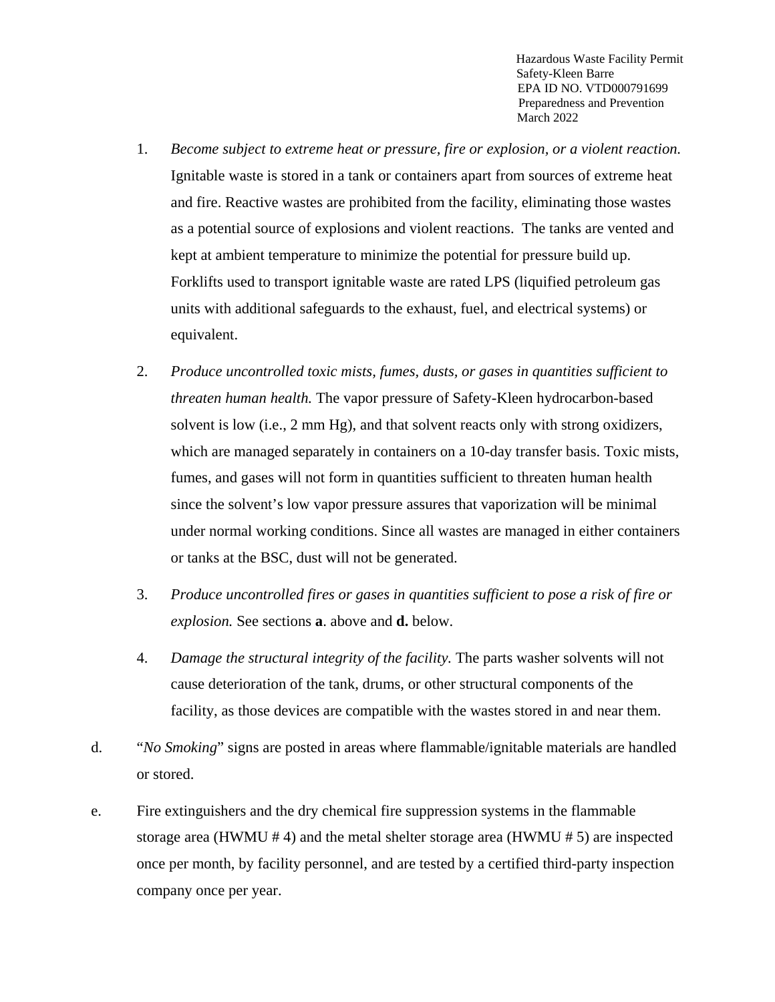- 1. *Become subject to extreme heat or pressure, fire or explosion, or a violent reaction.* Ignitable waste is stored in a tank or containers apart from sources of extreme heat and fire. Reactive wastes are prohibited from the facility, eliminating those wastes as a potential source of explosions and violent reactions. The tanks are vented and kept at ambient temperature to minimize the potential for pressure build up. Forklifts used to transport ignitable waste are rated LPS (liquified petroleum gas units with additional safeguards to the exhaust, fuel, and electrical systems) or equivalent.
- 2. *Produce uncontrolled toxic mists, fumes, dusts, or gases in quantities sufficient to threaten human health.* The vapor pressure of Safety-Kleen hydrocarbon-based solvent is low (i.e., 2 mm Hg), and that solvent reacts only with strong oxidizers, which are managed separately in containers on a 10-day transfer basis. Toxic mists, fumes, and gases will not form in quantities sufficient to threaten human health since the solvent's low vapor pressure assures that vaporization will be minimal under normal working conditions. Since all wastes are managed in either containers or tanks at the BSC, dust will not be generated.
- 3. *Produce uncontrolled fires or gases in quantities sufficient to pose a risk of fire or explosion.* See sections **a**. above and **d.** below.
- 4. *Damage the structural integrity of the facility.* The parts washer solvents will not cause deterioration of the tank, drums, or other structural components of the facility, as those devices are compatible with the wastes stored in and near them.
- d. "*No Smoking*" signs are posted in areas where flammable/ignitable materials are handled or stored.
- e. Fire extinguishers and the dry chemical fire suppression systems in the flammable storage area (HWMU # 4) and the metal shelter storage area (HWMU # 5) are inspected once per month, by facility personnel, and are tested by a certified third-party inspection company once per year.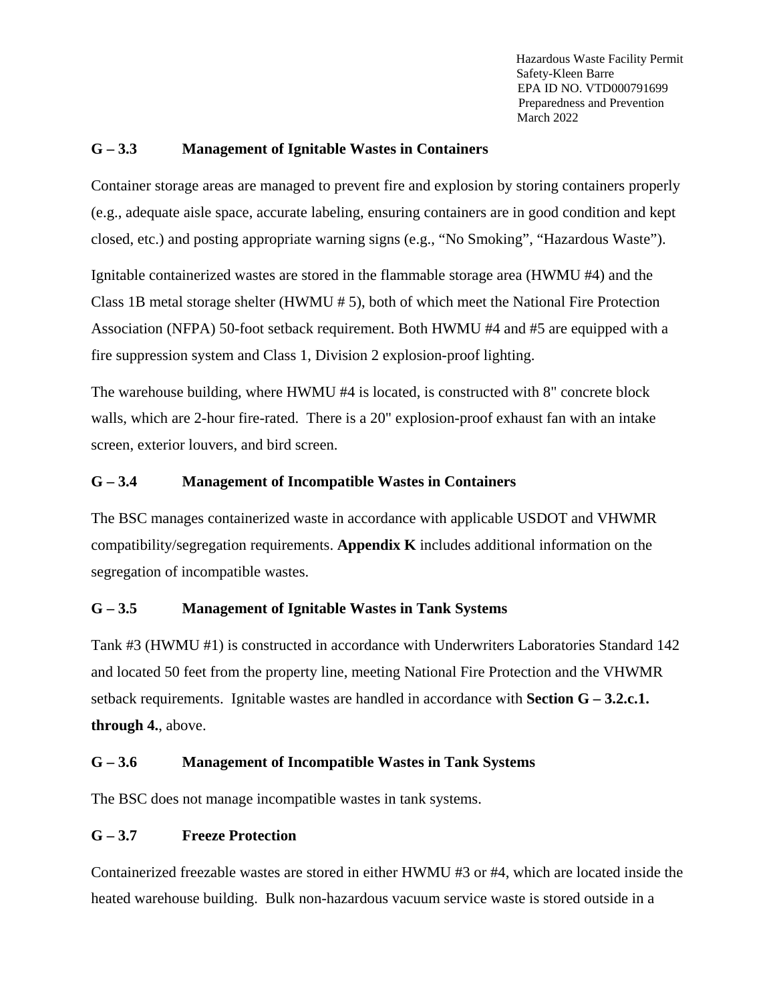#### **G – 3.3 Management of Ignitable Wastes in Containers**

Container storage areas are managed to prevent fire and explosion by storing containers properly (e.g., adequate aisle space, accurate labeling, ensuring containers are in good condition and kept closed, etc.) and posting appropriate warning signs (e.g., "No Smoking", "Hazardous Waste").

Ignitable containerized wastes are stored in the flammable storage area (HWMU #4) and the Class 1B metal storage shelter (HWMU # 5), both of which meet the National Fire Protection Association (NFPA) 50-foot setback requirement. Both HWMU #4 and #5 are equipped with a fire suppression system and Class 1, Division 2 explosion-proof lighting.

The warehouse building, where HWMU #4 is located, is constructed with 8" concrete block walls, which are 2-hour fire-rated. There is a 20" explosion-proof exhaust fan with an intake screen, exterior louvers, and bird screen.

#### **G – 3.4 Management of Incompatible Wastes in Containers**

The BSC manages containerized waste in accordance with applicable USDOT and VHWMR compatibility/segregation requirements. **Appendix K** includes additional information on the segregation of incompatible wastes.

# **G – 3.5 Management of Ignitable Wastes in Tank Systems**

Tank #3 (HWMU #1) is constructed in accordance with Underwriters Laboratories Standard 142 and located 50 feet from the property line, meeting National Fire Protection and the VHWMR setback requirements. Ignitable wastes are handled in accordance with **Section G – 3.2.c.1. through 4.**, above.

# **G – 3.6 Management of Incompatible Wastes in Tank Systems**

The BSC does not manage incompatible wastes in tank systems.

# **G – 3.7 Freeze Protection**

Containerized freezable wastes are stored in either HWMU #3 or #4, which are located inside the heated warehouse building. Bulk non-hazardous vacuum service waste is stored outside in a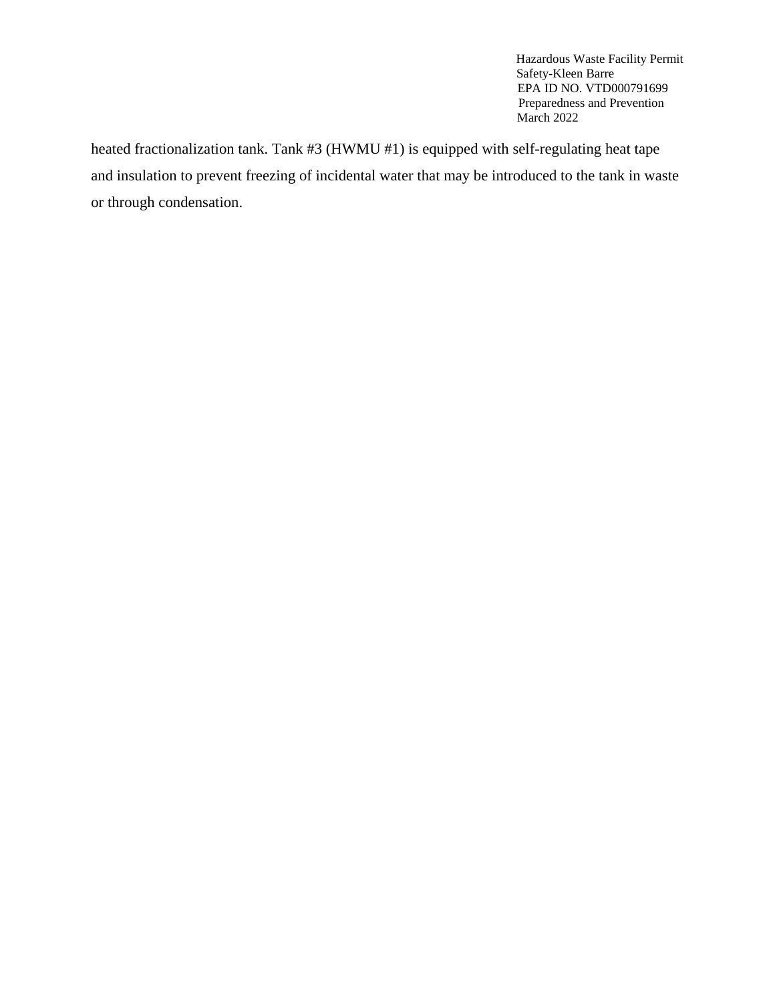heated fractionalization tank. Tank #3 (HWMU #1) is equipped with self-regulating heat tape and insulation to prevent freezing of incidental water that may be introduced to the tank in waste or through condensation.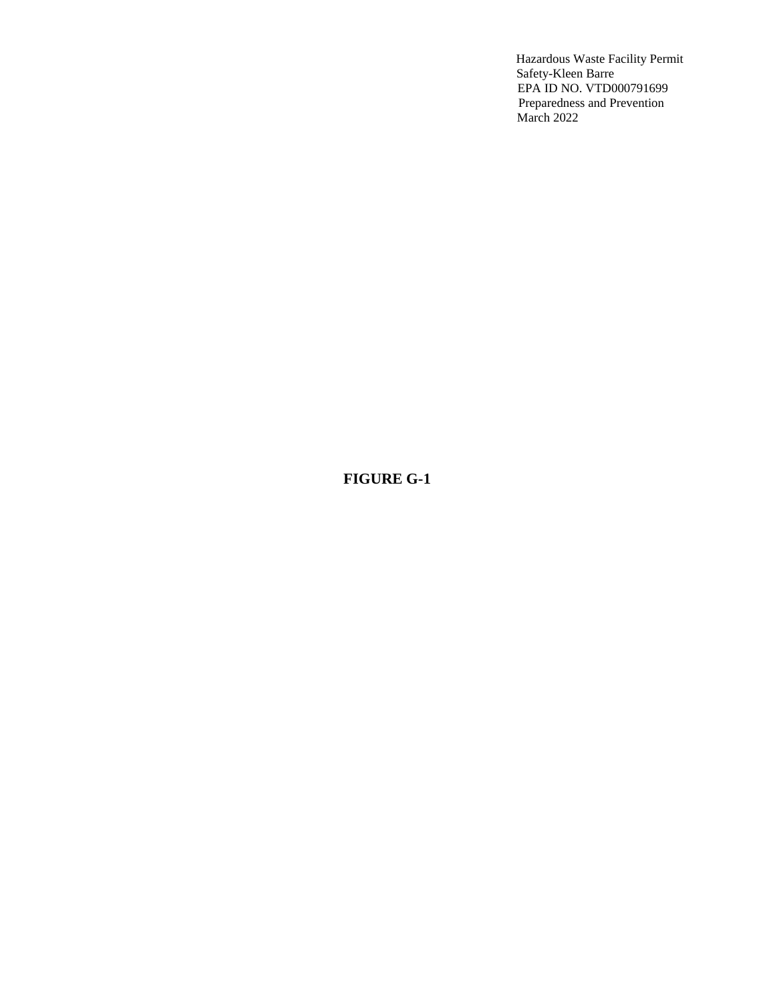# **FIGURE G-1**